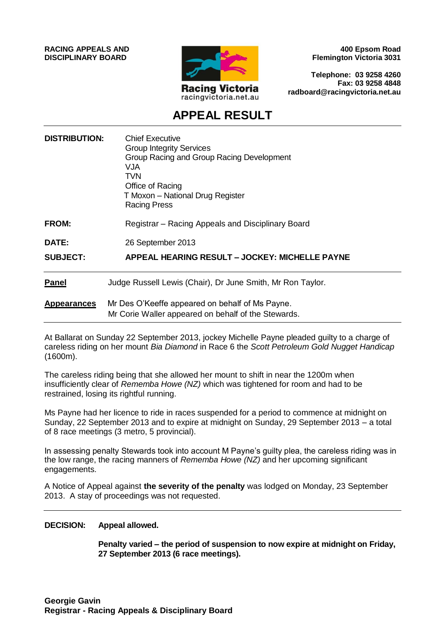**RACING APPEALS AND DISCIPLINARY BOARD**



**400 Epsom Road Flemington Victoria 3031**

**Telephone: 03 9258 4260 Fax: 03 9258 4848 radboard@racingvictoria.net.au**

# **APPEAL RESULT**

| <b>DISTRIBUTION:</b> | <b>Chief Executive</b><br><b>Group Integrity Services</b><br>Group Racing and Group Racing Development<br><b>VJA</b><br><b>TVN</b><br>Office of Racing<br>T Moxon - National Drug Register<br><b>Racing Press</b> |
|----------------------|-------------------------------------------------------------------------------------------------------------------------------------------------------------------------------------------------------------------|
| <b>FROM:</b>         | Registrar - Racing Appeals and Disciplinary Board                                                                                                                                                                 |
| <b>DATE:</b>         | 26 September 2013                                                                                                                                                                                                 |
| <b>SUBJECT:</b>      | APPEAL HEARING RESULT - JOCKEY: MICHELLE PAYNE                                                                                                                                                                    |
| <b>Panel</b>         | Judge Russell Lewis (Chair), Dr June Smith, Mr Ron Taylor.                                                                                                                                                        |
| <b>Appearances</b>   | Mr Des O'Keeffe appeared on behalf of Ms Payne.<br>Mr Corie Waller appeared on behalf of the Stewards.                                                                                                            |

At Ballarat on Sunday 22 September 2013, jockey Michelle Payne pleaded guilty to a charge of careless riding on her mount *Bia Diamond* in Race 6 the *Scott Petroleum Gold Nugget Handicap* (1600m).

The careless riding being that she allowed her mount to shift in near the 1200m when insufficiently clear of *Rememba Howe (NZ)* which was tightened for room and had to be restrained, losing its rightful running.

Ms Payne had her licence to ride in races suspended for a period to commence at midnight on Sunday, 22 September 2013 and to expire at midnight on Sunday, 29 September 2013 – a total of 8 race meetings (3 metro, 5 provincial).

In assessing penalty Stewards took into account M Payne's guilty plea, the careless riding was in the low range, the racing manners of *Rememba Howe (NZ)* and her upcoming significant engagements.

A Notice of Appeal against **the severity of the penalty** was lodged on Monday, 23 September 2013. A stay of proceedings was not requested.

#### **DECISION: Appeal allowed.**

**Penalty varied – the period of suspension to now expire at midnight on Friday, 27 September 2013 (6 race meetings).**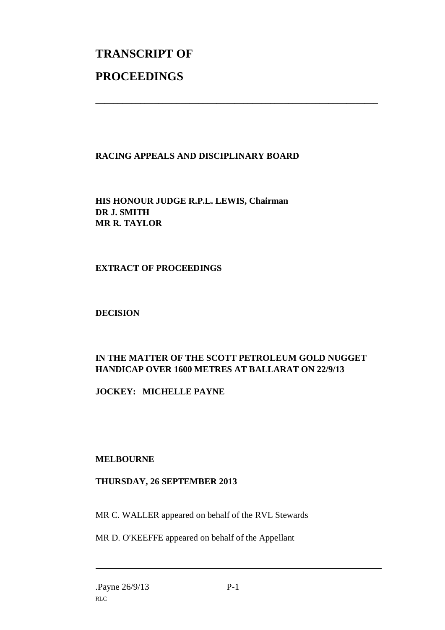# **TRANSCRIPT OF PROCEEDINGS**

# **RACING APPEALS AND DISCIPLINARY BOARD**

\_\_\_\_\_\_\_\_\_\_\_\_\_\_\_\_\_\_\_\_\_\_\_\_\_\_\_\_\_\_\_\_\_\_\_\_\_\_\_\_\_\_\_\_\_\_\_\_\_\_\_\_\_\_\_\_\_\_\_\_\_\_\_

**HIS HONOUR JUDGE R.P.L. LEWIS, Chairman DR J. SMITH MR R. TAYLOR**

### **EXTRACT OF PROCEEDINGS**

#### **DECISION**

# **IN THE MATTER OF THE SCOTT PETROLEUM GOLD NUGGET HANDICAP OVER 1600 METRES AT BALLARAT ON 22/9/13**

**JOCKEY: MICHELLE PAYNE**

#### **MELBOURNE**

### **THURSDAY, 26 SEPTEMBER 2013**

MR C. WALLER appeared on behalf of the RVL Stewards

MR D. O'KEEFFE appeared on behalf of the Appellant